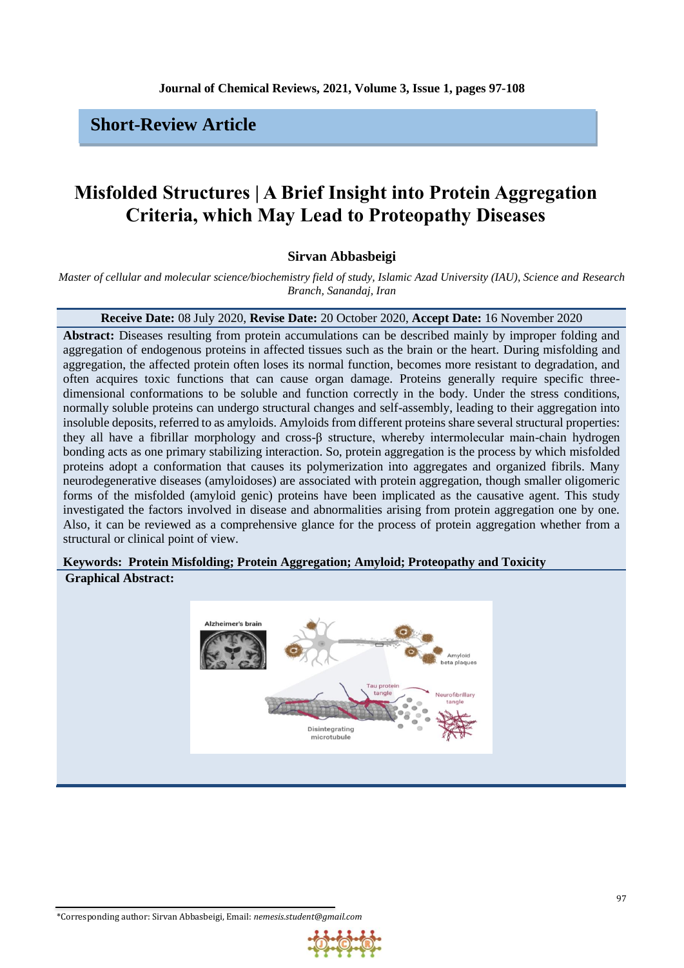## **Short-Review Article**

# **Misfolded Structures | A Brief Insight into Protein Aggregation Criteria, which May Lead to Proteopathy Diseases**

## **Sirvan Abbasbeigi**

*Master of cellular and molecular science/biochemistry field of study, Islamic Azad University (IAU), Science and Research Branch, Sanandaj, Iran*

## **Receive Date:** 08 July 2020, **Revise Date:** 20 October 2020, **Accept Date:** 16 November 2020

**Abstract:** Diseases resulting from protein accumulations can be described mainly by improper folding and aggregation of endogenous proteins in affected tissues such as the brain or the heart. During misfolding and aggregation, the affected protein often loses its normal function, becomes more resistant to degradation, and often acquires toxic functions that can cause organ damage. Proteins generally require specific threedimensional conformations to be soluble and function correctly in the body. Under the stress conditions, normally soluble proteins can undergo structural changes and self-assembly, leading to their aggregation into insoluble deposits, referred to as amyloids. Amyloids from different proteins share several structural properties: they all have a fibrillar morphology and cross-β structure, whereby intermolecular main-chain hydrogen bonding acts as one primary stabilizing interaction. So, protein aggregation is the process by which misfolded proteins adopt a conformation that causes its polymerization into aggregates and organized fibrils. Many neurodegenerative diseases (amyloidoses) are associated with protein aggregation, though smaller oligomeric forms of the misfolded (amyloid genic) proteins have been implicated as the causative agent. This study investigated the factors involved in disease and abnormalities arising from protein aggregation one by one. Also, it can be reviewed as a comprehensive glance for the process of protein aggregation whether from a structural or clinical point of view.

## **Keywords: Protein Misfolding; Protein Aggregation; Amyloid; Proteopathy and Toxicity**

## **Graphical Abstract:**

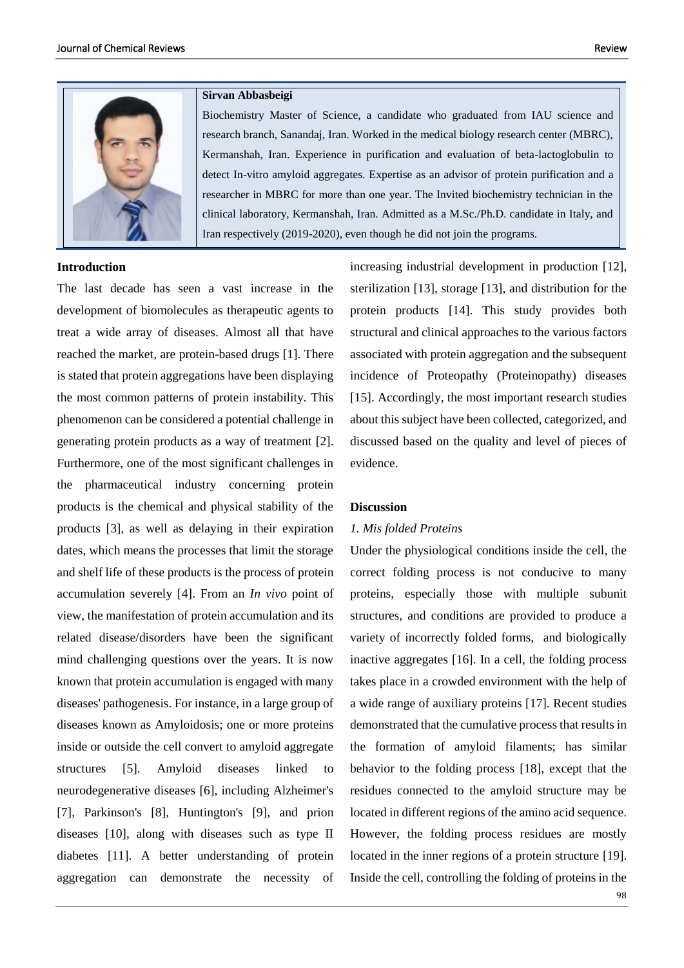

#### **Introduction**

The last decade has seen a vast increase in the development of biomolecules as therapeutic agents to treat a wide array of diseases. Almost all that have reached the market, are protein-based drugs [1]. There is stated that protein aggregations have been displaying the most common patterns of protein instability. This phenomenon can be considered a potential challenge in generating protein products as a way of treatment [2]. Furthermore, one of the most significant challenges in the pharmaceutical industry concerning protein products is the chemical and physical stability of the products [3], as well as delaying in their expiration dates, which means the processes that limit the storage and shelf life of these products is the process of protein accumulation severely [4]. From an *In vivo* point of view, the manifestation of protein accumulation and its related disease/disorders have been the significant mind challenging questions over the years. It is now known that protein accumulation is engaged with many diseases' pathogenesis. For instance, in a large group of diseases known as Amyloidosis; one or more proteins inside or outside the cell convert to amyloid aggregate structures [5]. Amyloid diseases linked to neurodegenerative diseases [6], including Alzheimer's [7], Parkinson's [8], Huntington's [9], and prion diseases [10], along with diseases such as type II diabetes [11]. A better understanding of protein aggregation can demonstrate the necessity of

#### **Sirvan Abbasbeigi**

Biochemistry Master of Science, a candidate who graduated from IAU science and research branch, Sanandaj, Iran. Worked in the medical biology research center (MBRC), Kermanshah, Iran. Experience in purification and evaluation of beta-lactoglobulin to detect In-vitro amyloid aggregates. Expertise as an advisor of protein purification and a researcher in MBRC for more than one year. The Invited biochemistry technician in the clinical laboratory, Kermanshah, Iran. Admitted as a M.Sc./Ph.D. candidate in Italy, and Iran respectively (2019-2020), even though he did not join the programs.

> increasing industrial development in production [12], sterilization [13], storage [13], and distribution for the protein products [14]. This study provides both structural and clinical approaches to the various factors associated with protein aggregation and the subsequent incidence of Proteopathy (Proteinopathy) diseases [15]. Accordingly, the most important research studies about this subject have been collected, categorized, and discussed based on the quality and level of pieces of evidence.

#### **Discussion**

#### *1. Mis folded Proteins*

Under the physiological conditions inside the cell, the correct folding process is not conducive to many proteins, especially those with multiple subunit structures, and conditions are provided to produce a variety of incorrectly folded forms, and biologically inactive aggregates [16]. In a cell, the folding process takes place in a crowded environment with the help of a wide range of auxiliary proteins [17]. Recent studies demonstrated that the cumulative process that results in the formation of amyloid filaments; has similar behavior to the folding process [18], except that the residues connected to the amyloid structure may be located in different regions of the amino acid sequence. However, the folding process residues are mostly located in the inner regions of a protein structure [19]. Inside the cell, controlling the folding of proteins in the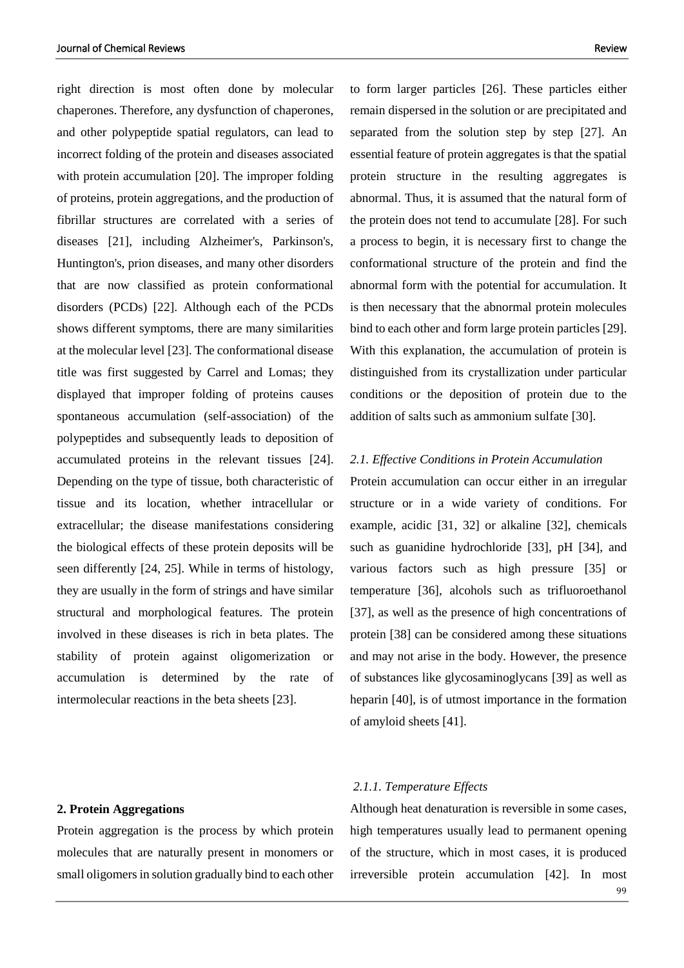right direction is most often done by molecular chaperones. Therefore, any dysfunction of chaperones, and other polypeptide spatial regulators, can lead to incorrect folding of the protein and diseases associated with protein accumulation [20]. The improper folding of proteins, protein aggregations, and the production of fibrillar structures are correlated with a series of diseases [21], including Alzheimer's, Parkinson's, Huntington's, prion diseases, and many other disorders that are now classified as protein conformational disorders (PCDs) [22]. Although each of the PCDs shows different symptoms, there are many similarities at the molecular level [23]. The conformational disease title was first suggested by Carrel and Lomas; they displayed that improper folding of proteins causes spontaneous accumulation (self-association) of the polypeptides and subsequently leads to deposition of accumulated proteins in the relevant tissues [24]. Depending on the type of tissue, both characteristic of tissue and its location, whether intracellular or extracellular; the disease manifestations considering the biological effects of these protein deposits will be seen differently [24, 25]. While in terms of histology, they are usually in the form of strings and have similar structural and morphological features. The protein involved in these diseases is rich in beta plates. The stability of protein against oligomerization or accumulation is determined by the rate of intermolecular reactions in the beta sheets [23].

to form larger particles [26]. These particles either remain dispersed in the solution or are precipitated and separated from the solution step by step [27]. An essential feature of protein aggregates is that the spatial protein structure in the resulting aggregates is abnormal. Thus, it is assumed that the natural form of the protein does not tend to accumulate [28]. For such a process to begin, it is necessary first to change the conformational structure of the protein and find the abnormal form with the potential for accumulation. It is then necessary that the abnormal protein molecules bind to each other and form large protein particles [29]. With this explanation, the accumulation of protein is distinguished from its crystallization under particular conditions or the deposition of protein due to the addition of salts such as ammonium sulfate [30].

## *2.1. Effective Conditions in Protein Accumulation*

Protein accumulation can occur either in an irregular structure or in a wide variety of conditions. For example, acidic [31, 32] or alkaline [32], chemicals such as guanidine hydrochloride [33], pH [34], and various factors such as high pressure [35] or temperature [36], alcohols such as trifluoroethanol [37], as well as the presence of high concentrations of protein [38] can be considered among these situations and may not arise in the body. However, the presence of substances like glycosaminoglycans [39] as well as heparin [40], is of utmost importance in the formation of amyloid sheets [41].

#### **2. Protein Aggregations**

Protein aggregation is the process by which protein molecules that are naturally present in monomers or small oligomers in solution gradually bind to each other

## *2.1.1. Temperature Effects*

99 Although heat denaturation is reversible in some cases, high temperatures usually lead to permanent opening of the structure, which in most cases, it is produced irreversible protein accumulation [42]. In most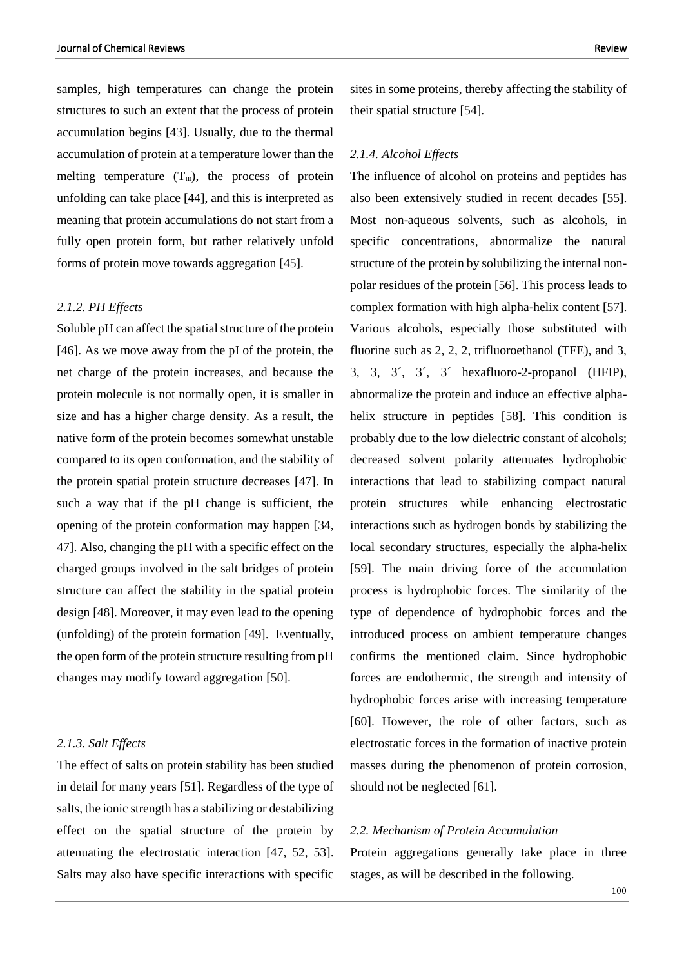samples, high temperatures can change the protein structures to such an extent that the process of protein accumulation begins [43]. Usually, due to the thermal accumulation of protein at a temperature lower than the melting temperature  $(T_m)$ , the process of protein unfolding can take place [44], and this is interpreted as meaning that protein accumulations do not start from a fully open protein form, but rather relatively unfold forms of protein move towards aggregation [45].

## *2.1.2. PH Effects*

Soluble pH can affect the spatial structure of the protein [46]. As we move away from the pI of the protein, the net charge of the protein increases, and because the protein molecule is not normally open, it is smaller in size and has a higher charge density. As a result, the native form of the protein becomes somewhat unstable compared to its open conformation, and the stability of the protein spatial protein structure decreases [47]. In such a way that if the pH change is sufficient, the opening of the protein conformation may happen [34, 47]. Also, changing the pH with a specific effect on the charged groups involved in the salt bridges of protein structure can affect the stability in the spatial protein design [48]. Moreover, it may even lead to the opening (unfolding) of the protein formation [49]. Eventually, the open form of the protein structure resulting from pH changes may modify toward aggregation [50].

## *2.1.3. Salt Effects*

The effect of salts on protein stability has been studied in detail for many years [51]. Regardless of the type of salts, the ionic strength has a stabilizing or destabilizing effect on the spatial structure of the protein by attenuating the electrostatic interaction [47, 52, 53]. Salts may also have specific interactions with specific

sites in some proteins, thereby affecting the stability of their spatial structure [54].

#### *2.1.4. Alcohol Effects*

The influence of alcohol on proteins and peptides has also been extensively studied in recent decades [55]. Most non-aqueous solvents, such as alcohols, in specific concentrations, abnormalize the natural structure of the protein by solubilizing the internal nonpolar residues of the protein [56]. This process leads to complex formation with high alpha-helix content [57]. Various alcohols, especially those substituted with fluorine such as 2, 2, 2, trifluoroethanol (TFE), and 3, 3, 3, 3´, 3´, 3´ hexafluoro-2-propanol (HFIP), abnormalize the protein and induce an effective alphahelix structure in peptides [58]. This condition is probably due to the low dielectric constant of alcohols; decreased solvent polarity attenuates hydrophobic interactions that lead to stabilizing compact natural protein structures while enhancing electrostatic interactions such as hydrogen bonds by stabilizing the local secondary structures, especially the alpha-helix [59]. The main driving force of the accumulation process is hydrophobic forces. The similarity of the type of dependence of hydrophobic forces and the introduced process on ambient temperature changes confirms the mentioned claim. Since hydrophobic forces are endothermic, the strength and intensity of hydrophobic forces arise with increasing temperature [60]. However, the role of other factors, such as electrostatic forces in the formation of inactive protein masses during the phenomenon of protein corrosion, should not be neglected [61].

## *2.2. Mechanism of Protein Accumulation*

Protein aggregations generally take place in three stages, as will be described in the following.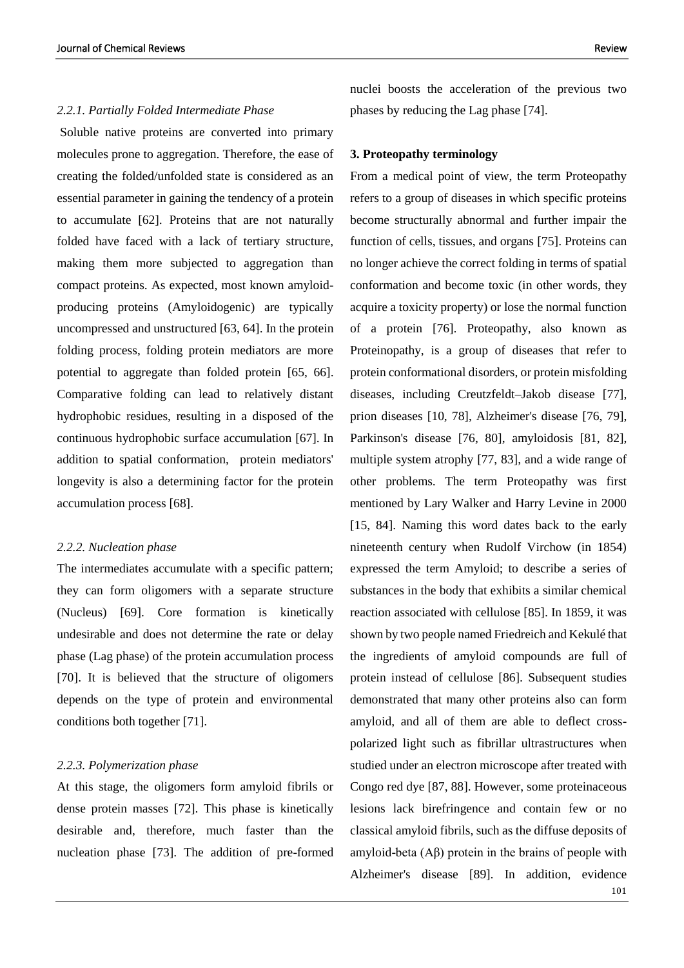Soluble native proteins are converted into primary molecules prone to aggregation. Therefore, the ease of creating the folded/unfolded state is considered as an essential parameter in gaining the tendency of a protein to accumulate [62]. Proteins that are not naturally folded have faced with a lack of tertiary structure, making them more subjected to aggregation than compact proteins. As expected, most known amyloidproducing proteins (Amyloidogenic) are typically uncompressed and unstructured [63, 64]. In the protein folding process, folding protein mediators are more potential to aggregate than folded protein [65, 66]. Comparative folding can lead to relatively distant hydrophobic residues, resulting in a disposed of the continuous hydrophobic surface accumulation [67]. In addition to spatial conformation, protein mediators' longevity is also a determining factor for the protein accumulation process [68].

## *2.2.2. Nucleation phase*

The intermediates accumulate with a specific pattern; they can form oligomers with a separate structure (Nucleus) [69]. Core formation is kinetically undesirable and does not determine the rate or delay phase (Lag phase) of the protein accumulation process [70]. It is believed that the structure of oligomers depends on the type of protein and environmental conditions both together [71].

#### *2.2.3. Polymerization phase*

At this stage, the oligomers form amyloid fibrils or dense protein masses [72]. This phase is kinetically desirable and, therefore, much faster than the nucleation phase [73]. The addition of pre-formed

nuclei boosts the acceleration of the previous two phases by reducing the Lag phase [74].

#### **3. Proteopathy terminology**

101 From a medical point of view, the term Proteopathy refers to a group of diseases in which specific proteins become structurally abnormal and further impair the function of cells, tissues, and organs [75]. Proteins can no longer achieve the correct folding in terms of spatial conformation and become toxic (in other words, they acquire a toxicity property) or lose the normal function of a protein [76]. Proteopathy, also known as Proteinopathy, is a group of diseases that refer to protein conformational disorders, or protein misfolding diseases, including Creutzfeldt–Jakob disease [77], prion diseases [10, 78], Alzheimer's disease [76, 79], Parkinson's disease [76, 80], amyloidosis [81, 82], multiple system atrophy [77, 83], and a wide range of other problems. The term Proteopathy was first mentioned by Lary Walker and Harry Levine in 2000 [15, 84]. Naming this word dates back to the early nineteenth century when Rudolf Virchow (in 1854) expressed the term Amyloid; to describe a series of substances in the body that exhibits a similar chemical reaction associated with cellulose [85]. In 1859, it was shown by two people named Friedreich and Kekulé that the ingredients of amyloid compounds are full of protein instead of cellulose [86]. Subsequent studies demonstrated that many other proteins also can form amyloid, and all of them are able to deflect crosspolarized light such as fibrillar ultrastructures when studied under an electron microscope after treated with Congo red dye [87, 88]. However, some proteinaceous lesions lack birefringence and contain few or no classical amyloid fibrils, such as the diffuse deposits of amyloid-beta (Aβ) protein in the brains of people with Alzheimer's disease [89]. In addition, evidence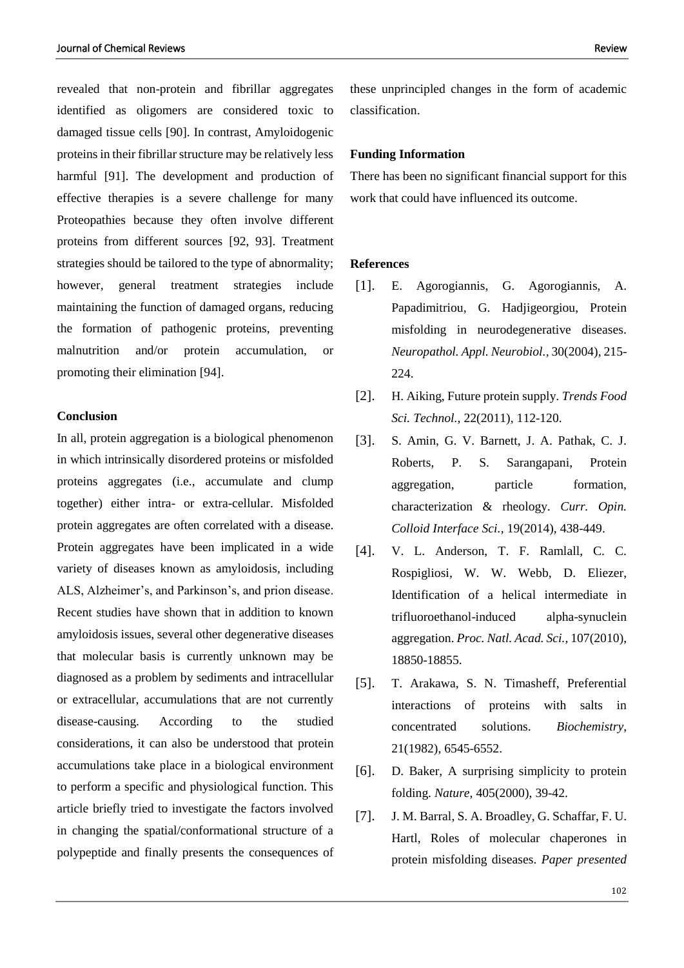revealed that non-protein and fibrillar aggregates identified as oligomers are considered toxic to damaged tissue cells [90]. In contrast, Amyloidogenic proteins in their fibrillar structure may be relatively less harmful [91]. The development and production of effective therapies is a severe challenge for many Proteopathies because they often involve different proteins from different sources [92, 93]. Treatment strategies should be tailored to the type of abnormality; however, general treatment strategies include maintaining the function of damaged organs, reducing the formation of pathogenic proteins, preventing malnutrition and/or protein accumulation, or promoting their elimination [94].

#### **Conclusion**

In all, protein aggregation is a biological phenomenon in which intrinsically disordered proteins or misfolded proteins aggregates (i.e., accumulate and clump together) either intra- or extra-cellular. Misfolded protein aggregates are often correlated with a disease. Protein aggregates have been implicated in a wide variety of diseases known as amyloidosis, including ALS, Alzheimer's, and Parkinson's, and prion disease. Recent studies have shown that in addition to known amyloidosis issues, several other degenerative diseases that molecular basis is currently unknown may be diagnosed as a problem by sediments and intracellular or extracellular, accumulations that are not currently disease-causing. According to the studied considerations, it can also be understood that protein accumulations take place in a biological environment to perform a specific and physiological function. This article briefly tried to investigate the factors involved in changing the spatial/conformational structure of a polypeptide and finally presents the consequences of

these unprincipled changes in the form of academic classification.

#### **Funding Information**

There has been no significant financial support for this work that could have influenced its outcome.

## **References**

- [1]. E. Agorogiannis, G. Agorogiannis, A. Papadimitriou, G. Hadjigeorgiou, Protein misfolding in neurodegenerative diseases. *Neuropathol. Appl. Neurobiol.,* 30(2004), 215- 224.
- [2]. H. Aiking, Future protein supply. *Trends Food Sci. Technol.,* 22(2011), 112-120.
- [3]. S. Amin, G. V. Barnett, J. A. Pathak, C. J. Roberts, P. S. Sarangapani, Protein aggregation, particle formation, characterization & rheology. *Curr. Opin. Colloid Interface Sci.,* 19(2014), 438-449.
- [4]. V. L. Anderson, T. F. Ramlall, C. C. Rospigliosi, W. W. Webb, D. Eliezer, Identification of a helical intermediate in trifluoroethanol-induced alpha-synuclein aggregation. *Proc. Natl. Acad. Sci.,* 107(2010), 18850-18855.
- [5]. T. Arakawa, S. N. Timasheff, Preferential interactions of proteins with salts in concentrated solutions. *Biochemistry,*  21(1982), 6545-6552.
- [6]. D. Baker, A surprising simplicity to protein folding. *Nature,* 405(2000), 39-42.
- [7]. J. M. Barral, S. A. Broadley, G. Schaffar, F. U. Hartl, Roles of molecular chaperones in protein misfolding diseases. *Paper presented*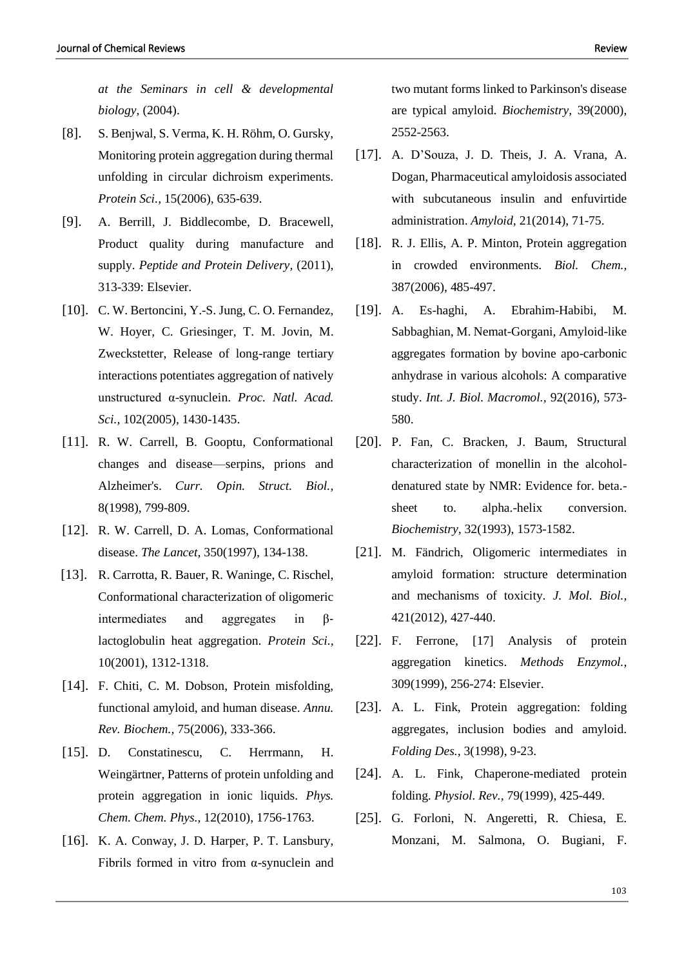*at the Seminars in cell & developmental biology*, (2004).

- [8]. S. Benjwal, S. Verma, K. H. Röhm, O. Gursky, Monitoring protein aggregation during thermal unfolding in circular dichroism experiments. *Protein Sci.,* 15(2006), 635-639.
- [9]. A. Berrill, J. Biddlecombe, D. Bracewell, Product quality during manufacture and supply. *Peptide and Protein Delivery,* (2011), 313-339: Elsevier.
- [10]. C. W. Bertoncini, Y.-S. Jung, C. O. Fernandez, W. Hoyer, C. Griesinger, T. M. Jovin, M. Zweckstetter, Release of long-range tertiary interactions potentiates aggregation of natively unstructured α-synuclein. *Proc. Natl. Acad. Sci.,* 102(2005), 1430-1435.
- [11]. R. W. Carrell, B. Gooptu, Conformational changes and disease—serpins, prions and Alzheimer's. *Curr. Opin. Struct. Biol.,*  8(1998), 799-809.
- [12]. R. W. Carrell, D. A. Lomas, Conformational disease. *The Lancet,* 350(1997), 134-138.
- [13]. R. Carrotta, R. Bauer, R. Waninge, C. Rischel, Conformational characterization of oligomeric intermediates and aggregates in  $\beta$ lactoglobulin heat aggregation. *Protein Sci.,*  10(2001), 1312-1318.
- [14]. F. Chiti, C. M. Dobson, Protein misfolding, functional amyloid, and human disease. *Annu. Rev. Biochem.,* 75(2006), 333-366.
- [15]. D. Constatinescu, C. Herrmann, H. Weingärtner, Patterns of protein unfolding and protein aggregation in ionic liquids. *Phys. Chem. Chem. Phys.,* 12(2010), 1756-1763.
- [16]. K. A. Conway, J. D. Harper, P. T. Lansbury, Fibrils formed in vitro from  $\alpha$ -synuclein and

two mutant forms linked to Parkinson's disease are typical amyloid. *Biochemistry,* 39(2000), 2552-2563.

- [17]. A. D'Souza, J. D. Theis, J. A. Vrana, A. Dogan, Pharmaceutical amyloidosis associated with subcutaneous insulin and enfuvirtide administration. *Amyloid,* 21(2014), 71-75.
- [18]. R. J. Ellis, A. P. Minton, Protein aggregation in crowded environments. *Biol. Chem.,*  387(2006), 485-497.
- [19]. A. Es-haghi, A. Ebrahim-Habibi, M. Sabbaghian, M. Nemat-Gorgani, Amyloid-like aggregates formation by bovine apo-carbonic anhydrase in various alcohols: A comparative study. *Int. J. Biol. Macromol.,* 92(2016), 573- 580.
- [20]. P. Fan, C. Bracken, J. Baum, Structural characterization of monellin in the alcoholdenatured state by NMR: Evidence for. beta. sheet to. alpha.-helix conversion. *Biochemistry,* 32(1993), 1573-1582.
- [21]. M. Fändrich, Oligomeric intermediates in amyloid formation: structure determination and mechanisms of toxicity. *J. Mol. Biol.,*  421(2012), 427-440.
- [22]. F. Ferrone, [17] Analysis of protein aggregation kinetics. *Methods Enzymol.,* 309(1999), 256-274: Elsevier.
- [23]. A. L. Fink, Protein aggregation: folding aggregates, inclusion bodies and amyloid. *Folding Des.,* 3(1998), 9-23.
- [24]. A. L. Fink, Chaperone-mediated protein folding. *Physiol. Rev.,* 79(1999), 425-449.
- [25]. G. Forloni, N. Angeretti, R. Chiesa, E. Monzani, M. Salmona, O. Bugiani, F.

103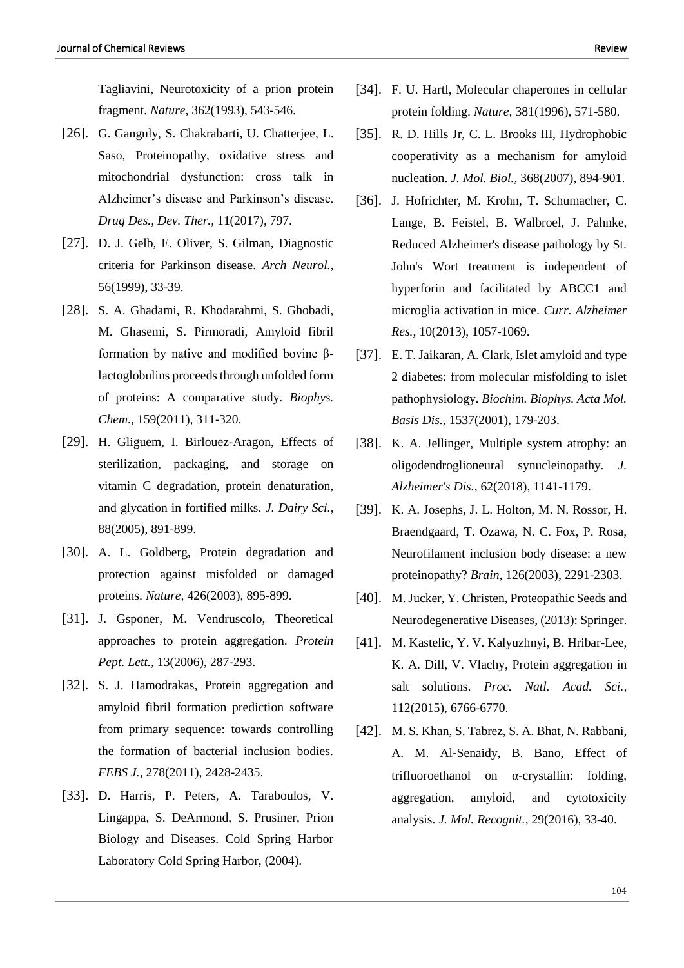Tagliavini, Neurotoxicity of a prion protein fragment. *Nature,* 362(1993), 543-546.

- [26]. G. Ganguly, S. Chakrabarti, U. Chatterjee, L. Saso, Proteinopathy, oxidative stress and mitochondrial dysfunction: cross talk in Alzheimer's disease and Parkinson's disease. *Drug Des., Dev. Ther.,* 11(2017), 797.
- [27]. D. J. Gelb, E. Oliver, S. Gilman, Diagnostic criteria for Parkinson disease. *Arch Neurol.,*  56(1999), 33-39.
- [28]. S. A. Ghadami, R. Khodarahmi, S. Ghobadi, M. Ghasemi, S. Pirmoradi, Amyloid fibril formation by native and modified bovine βlactoglobulins proceeds through unfolded form of proteins: A comparative study. *Biophys. Chem.,* 159(2011), 311-320.
- [29]. H. Gliguem, I. Birlouez-Aragon, Effects of sterilization, packaging, and storage on vitamin C degradation, protein denaturation, and glycation in fortified milks. *J. Dairy Sci.,*  88(2005), 891-899.
- [30]. A. L. Goldberg, Protein degradation and protection against misfolded or damaged proteins. *Nature,* 426(2003), 895-899.
- [31]. J. Gsponer, M. Vendruscolo, Theoretical approaches to protein aggregation. *Protein Pept. Lett.,* 13(2006), 287-293.
- [32]. S. J. Hamodrakas, Protein aggregation and amyloid fibril formation prediction software from primary sequence: towards controlling the formation of bacterial inclusion bodies. *FEBS J.,* 278(2011), 2428-2435.
- [33]. D. Harris, P. Peters, A. Taraboulos, V. Lingappa, S. DeArmond, S. Prusiner, Prion Biology and Diseases. Cold Spring Harbor Laboratory Cold Spring Harbor, (2004).
- [34]. F. U. Hartl, Molecular chaperones in cellular protein folding. *Nature,* 381(1996), 571-580.
- [35]. R. D. Hills Jr, C. L. Brooks III, Hydrophobic cooperativity as a mechanism for amyloid nucleation. *J. Mol. Biol.,* 368(2007), 894-901.
- [36]. J. Hofrichter, M. Krohn, T. Schumacher, C. Lange, B. Feistel, B. Walbroel, J. Pahnke, Reduced Alzheimer's disease pathology by St. John's Wort treatment is independent of hyperforin and facilitated by ABCC1 and microglia activation in mice. *Curr. Alzheimer Res.,* 10(2013), 1057-1069.
- [37]. E. T. Jaikaran, A. Clark, Islet amyloid and type 2 diabetes: from molecular misfolding to islet pathophysiology. *Biochim. Biophys. Acta Mol. Basis Dis.,* 1537(2001), 179-203.
- [38]. K. A. Jellinger, Multiple system atrophy: an oligodendroglioneural synucleinopathy. *J. Alzheimer's Dis.,* 62(2018), 1141-1179.
- [39]. K. A. Josephs, J. L. Holton, M. N. Rossor, H. Braendgaard, T. Ozawa, N. C. Fox, P. Rosa, Neurofilament inclusion body disease: a new proteinopathy? *Brain,* 126(2003), 2291-2303.
- [40]. M. Jucker, Y. Christen, Proteopathic Seeds and Neurodegenerative Diseases, (2013): Springer.
- [41]. M. Kastelic, Y. V. Kalyuzhnyi, B. Hribar-Lee, K. A. Dill, V. Vlachy, Protein aggregation in salt solutions. *Proc. Natl. Acad. Sci.,*  112(2015), 6766-6770.
- [42]. M. S. Khan, S. Tabrez, S. A. Bhat, N. Rabbani, A. M. Al‐Senaidy, B. Bano, Effect of trifluoroethanol on α‐crystallin: folding, aggregation, amyloid, and cytotoxicity analysis. *J. Mol. Recognit.,* 29(2016), 33-40.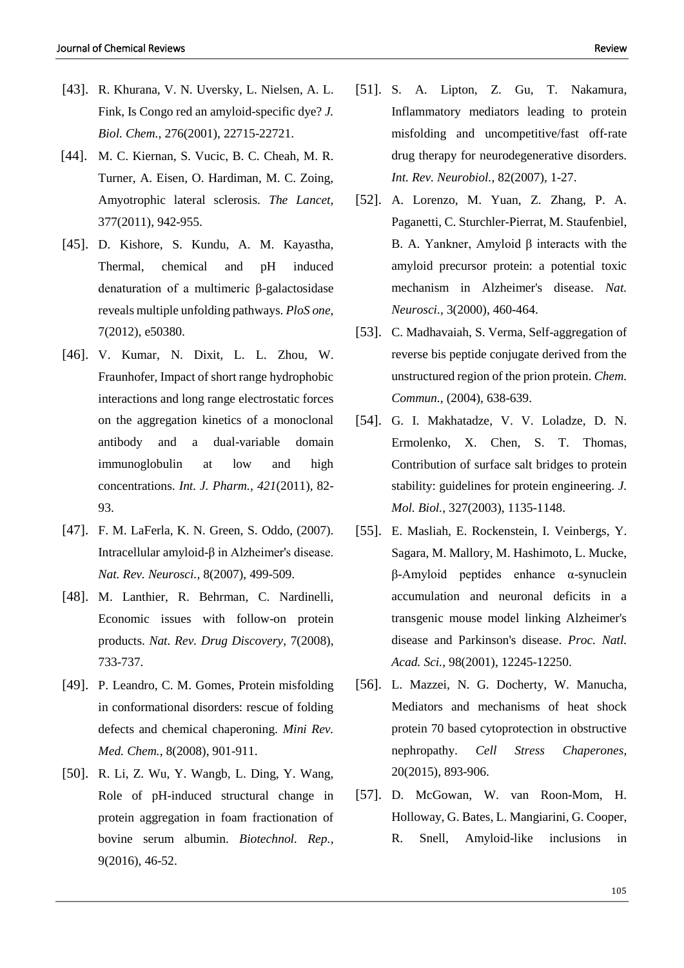- [43]. R. Khurana, V. N. Uversky, L. Nielsen, A. L. Fink, Is Congo red an amyloid-specific dye? *J. Biol. Chem.,* 276(2001), 22715-22721.
- [44]. M. C. Kiernan, S. Vucic, B. C. Cheah, M. R. Turner, A. Eisen, O. Hardiman, M. C. Zoing, Amyotrophic lateral sclerosis. *The Lancet,*  377(2011), 942-955.
- [45]. D. Kishore, S. Kundu, A. M. Kayastha, Thermal, chemical and pH induced denaturation of a multimeric β-galactosidase reveals multiple unfolding pathways. *PloS one,*  7(2012), e50380.
- [46]. V. Kumar, N. Dixit, L. L. Zhou, W. Fraunhofer, Impact of short range hydrophobic interactions and long range electrostatic forces on the aggregation kinetics of a monoclonal antibody and a dual-variable domain immunoglobulin at low and high concentrations. *Int. J. Pharm., 421*(2011), 82- 93.
- [47]. F. M. LaFerla, K. N. Green, S. Oddo, (2007). Intracellular amyloid-β in Alzheimer's disease. *Nat. Rev. Neurosci.,* 8(2007), 499-509.
- [48]. M. Lanthier, R. Behrman, C. Nardinelli, Economic issues with follow-on protein products. *Nat. Rev. Drug Discovery,* 7(2008), 733-737.
- [49]. P. Leandro, C. M. Gomes, Protein misfolding in conformational disorders: rescue of folding defects and chemical chaperoning. *Mini Rev. Med. Chem.,* 8(2008), 901-911.
- [50]. R. Li, Z. Wu, Y. Wangb, L. Ding, Y. Wang, Role of pH-induced structural change in protein aggregation in foam fractionation of bovine serum albumin. *Biotechnol. Rep.,*  9(2016), 46-52.
- [51]. S. A. Lipton, Z. Gu, T. Nakamura, Inflammatory mediators leading to protein misfolding and uncompetitive/fast off-rate drug therapy for neurodegenerative disorders. *Int. Rev. Neurobiol.,* 82(2007), 1-27.
- [52]. A. Lorenzo, M. Yuan, Z. Zhang, P. A. Paganetti, C. Sturchler-Pierrat, M. Staufenbiel, B. A. Yankner, Amyloid β interacts with the amyloid precursor protein: a potential toxic mechanism in Alzheimer's disease. *Nat. Neurosci.,* 3(2000), 460-464.
- [53]. C. Madhavaiah, S. Verma, Self-aggregation of reverse bis peptide conjugate derived from the unstructured region of the prion protein. *Chem. Commun.,* (2004), 638-639.
- [54]. G. I. Makhatadze, V. V. Loladze, D. N. Ermolenko, X. Chen, S. T. Thomas, Contribution of surface salt bridges to protein stability: guidelines for protein engineering. *J. Mol. Biol.,* 327(2003), 1135-1148.
- [55]. E. Masliah, E. Rockenstein, I. Veinbergs, Y. Sagara, M. Mallory, M. Hashimoto, L. Mucke, β-Amyloid peptides enhance α-synuclein accumulation and neuronal deficits in a transgenic mouse model linking Alzheimer's disease and Parkinson's disease. *Proc. Natl. Acad. Sci.,* 98(2001), 12245-12250.
- [56]. L. Mazzei, N. G. Docherty, W. Manucha, Mediators and mechanisms of heat shock protein 70 based cytoprotection in obstructive nephropathy. *Cell Stress Chaperones,*  20(2015), 893-906.
- [57]. D. McGowan, W. van Roon-Mom, H. Holloway, G. Bates, L. Mangiarini, G. Cooper, R. Snell, Amyloid-like inclusions in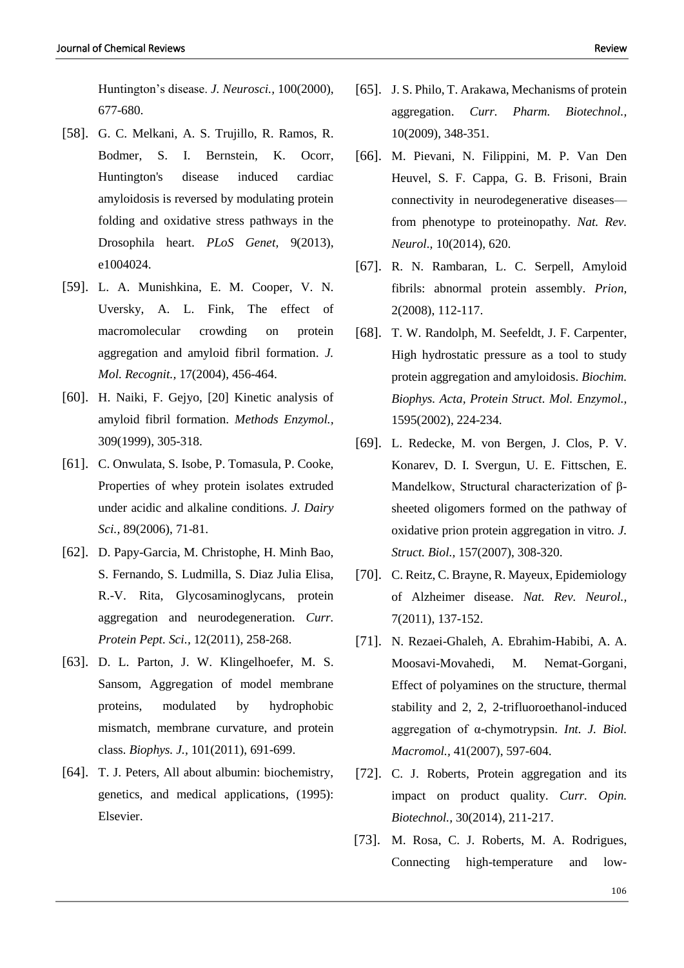Huntington's disease. *J. Neurosci.,* 100(2000), 677-680.

- [58]. G. C. Melkani, A. S. Trujillo, R. Ramos, R. Bodmer, S. I. Bernstein, K. Ocorr, Huntington's disease induced cardiac amyloidosis is reversed by modulating protein folding and oxidative stress pathways in the Drosophila heart. *PLoS Genet,* 9(2013), e1004024.
- [59]. L. A. Munishkina, E. M. Cooper, V. N. Uversky, A. L. Fink, The effect of macromolecular crowding on protein aggregation and amyloid fibril formation. *J. Mol. Recognit.,* 17(2004), 456-464.
- [60]. H. Naiki, F. Gejyo, [20] Kinetic analysis of amyloid fibril formation. *Methods Enzymol.,*  309(1999), 305-318.
- [61]. C. Onwulata, S. Isobe, P. Tomasula, P. Cooke, Properties of whey protein isolates extruded under acidic and alkaline conditions. *J. Dairy Sci.,* 89(2006), 71-81.
- [62]. D. Papy-Garcia, M. Christophe, H. Minh Bao, S. Fernando, S. Ludmilla, S. Diaz Julia Elisa, R.-V. Rita, Glycosaminoglycans, protein aggregation and neurodegeneration. *Curr. Protein Pept. Sci.,* 12(2011), 258-268.
- [63]. D. L. Parton, J. W. Klingelhoefer, M. S. Sansom, Aggregation of model membrane proteins, modulated by hydrophobic mismatch, membrane curvature, and protein class. *Biophys. J.,* 101(2011), 691-699.
- [64]. T. J. Peters, All about albumin: biochemistry, genetics, and medical applications, (1995): Elsevier.
- [65]. J. S. Philo, T. Arakawa, Mechanisms of protein aggregation. *Curr. Pharm. Biotechnol.,*  10(2009), 348-351.
- [66]. M. Pievani, N. Filippini, M. P. Van Den Heuvel, S. F. Cappa, G. B. Frisoni, Brain connectivity in neurodegenerative diseases from phenotype to proteinopathy. *Nat. Rev. Neurol.,* 10(2014), 620.
- [67]. R. N. Rambaran, L. C. Serpell, Amyloid fibrils: abnormal protein assembly. *Prion,*  2(2008), 112-117.
- [68]. T. W. Randolph, M. Seefeldt, J. F. Carpenter, High hydrostatic pressure as a tool to study protein aggregation and amyloidosis. *Biochim. Biophys. Acta, Protein Struct. Mol. Enzymol.,*  1595(2002), 224-234.
- [69]. L. Redecke, M. von Bergen, J. Clos, P. V. Konarev, D. I. Svergun, U. E. Fittschen, E. Mandelkow, Structural characterization of βsheeted oligomers formed on the pathway of oxidative prion protein aggregation in vitro. *J. Struct. Biol.,* 157(2007), 308-320.
- [70]. C. Reitz, C. Brayne, R. Mayeux, Epidemiology of Alzheimer disease. *Nat. Rev. Neurol.,*  7(2011), 137-152.
- [71]. N. Rezaei-Ghaleh, A. Ebrahim-Habibi, A. A. Moosavi-Movahedi, M. Nemat-Gorgani, Effect of polyamines on the structure, thermal stability and 2, 2, 2-trifluoroethanol-induced aggregation of α-chymotrypsin. *Int. J. Biol. Macromol.,* 41(2007), 597-604.
- [72]. C. J. Roberts, Protein aggregation and its impact on product quality. *Curr. Opin. Biotechnol.,* 30(2014), 211-217.
- [73]. M. Rosa, C. J. Roberts, M. A. Rodrigues, Connecting high-temperature and low-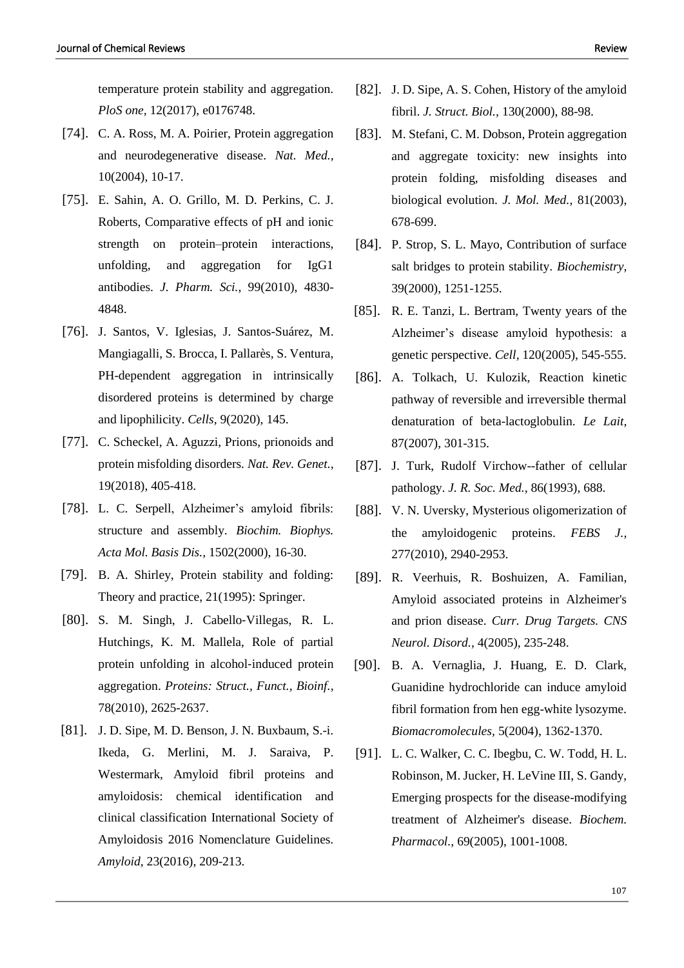temperature protein stability and aggregation. *PloS one,* 12(2017), e0176748.

- [74]. C. A. Ross, M. A. Poirier, Protein aggregation and neurodegenerative disease. *Nat. Med.,*  10(2004), 10-17.
- [75]. E. Sahin, A. O. Grillo, M. D. Perkins, C. J. Roberts, Comparative effects of pH and ionic strength on protein–protein interactions, unfolding, and aggregation for IgG1 antibodies. *J. Pharm. Sci.,* 99(2010), 4830- 4848.
- [76]. J. Santos, V. Iglesias, J. Santos-Suárez, M. Mangiagalli, S. Brocca, I. Pallarès, S. Ventura, PH-dependent aggregation in intrinsically disordered proteins is determined by charge and lipophilicity. *Cells,* 9(2020), 145.
- [77]. C. Scheckel, A. Aguzzi, Prions, prionoids and protein misfolding disorders. *Nat. Rev. Genet.,*  19(2018), 405-418.
- [78]. L. C. Serpell, Alzheimer's amyloid fibrils: structure and assembly. *Biochim. Biophys. Acta Mol. Basis Dis.,* 1502(2000), 16-30.
- [79]. B. A. Shirley, Protein stability and folding: Theory and practice, 21(1995): Springer.
- [80]. S. M. Singh, J. Cabello‐Villegas, R. L. Hutchings, K. M. Mallela, Role of partial protein unfolding in alcohol‐induced protein aggregation. *Proteins: Struct., Funct., Bioinf.,*  78(2010), 2625-2637.
- [81]. J. D. Sipe, M. D. Benson, J. N. Buxbaum, S.-i. Ikeda, G. Merlini, M. J. Saraiva, P. Westermark, Amyloid fibril proteins and amyloidosis: chemical identification and clinical classification International Society of Amyloidosis 2016 Nomenclature Guidelines. *Amyloid,* 23(2016), 209-213.
- [82]. J. D. Sipe, A. S. Cohen, History of the amyloid fibril. *J. Struct. Biol.,* 130(2000), 88-98.
- [83]. M. Stefani, C. M. Dobson, Protein aggregation and aggregate toxicity: new insights into protein folding, misfolding diseases and biological evolution. *J. Mol. Med.,* 81(2003), 678-699.
- [84]. P. Strop, S. L. Mayo, Contribution of surface salt bridges to protein stability. *Biochemistry,*  39(2000), 1251-1255.
- [85]. R. E. Tanzi, L. Bertram, Twenty years of the Alzheimer's disease amyloid hypothesis: a genetic perspective. *Cell,* 120(2005), 545-555.
- [86]. A. Tolkach, U. Kulozik, Reaction kinetic pathway of reversible and irreversible thermal denaturation of beta-lactoglobulin. *Le Lait,*  87(2007), 301-315.
- [87]. J. Turk, Rudolf Virchow--father of cellular pathology. *J. R. Soc. Med.,* 86(1993), 688.
- [88]. V. N. Uversky, Mysterious oligomerization of the amyloidogenic proteins. *FEBS J.,*  277(2010), 2940-2953.
- [89]. R. Veerhuis, R. Boshuizen, A. Familian, Amyloid associated proteins in Alzheimer's and prion disease. *Curr. Drug Targets. CNS Neurol. Disord.,* 4(2005), 235-248.
- [90]. B. A. Vernaglia, J. Huang, E. D. Clark, Guanidine hydrochloride can induce amyloid fibril formation from hen egg-white lysozyme. *Biomacromolecules,* 5(2004), 1362-1370.
- [91]. L. C. Walker, C. C. Ibegbu, C. W. Todd, H. L. Robinson, M. Jucker, H. LeVine III, S. Gandy, Emerging prospects for the disease-modifying treatment of Alzheimer's disease. *Biochem. Pharmacol.,* 69(2005), 1001-1008.